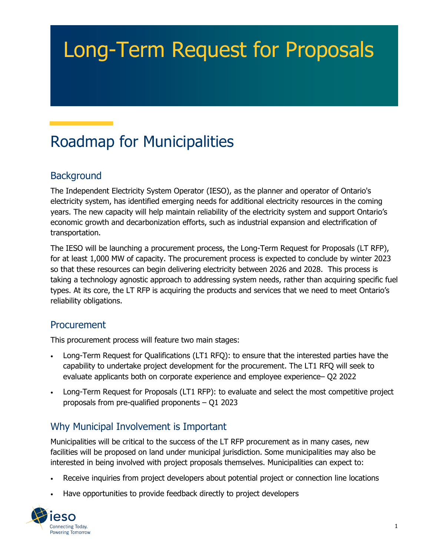# Long-Term Request for Proposals

# Roadmap for Municipalities

## **Background**

The Independent Electricity System Operator (IESO), as the planner and operator of Ontario's electricity system, has identified emerging needs for additional electricity resources in the coming years. The new capacity will help maintain reliability of the electricity system and support Ontario's economic growth and decarbonization efforts, such as industrial expansion and electrification of transportation.

The IESO will be launching a procurement process, the Long-Term Request for Proposals (LT RFP), for at least 1,000 MW of capacity. The procurement process is expected to conclude by winter 2023 so that these resources can begin delivering electricity between 2026 and 2028. This process is taking a technology agnostic approach to addressing system needs, rather than acquiring specific fuel types. At its core, the LT RFP is acquiring the products and services that we need to meet Ontario's reliability obligations.

#### Procurement

This procurement process will feature two main stages:

- Long-Term Request for Qualifications (LT1 RFQ): to ensure that the interested parties have the capability to undertake project development for the procurement. The LT1 RFQ will seek to evaluate applicants both on corporate experience and employee experience– Q2 2022
- Long-Term Request for Proposals (LT1 RFP): to evaluate and select the most competitive project proposals from pre-qualified proponents – Q1 2023

### Why Municipal Involvement is Important

Municipalities will be critical to the success of the LT RFP procurement as in many cases, new facilities will be proposed on land under municipal jurisdiction. Some municipalities may also be interested in being involved with project proposals themselves. Municipalities can expect to:

- Receive inquiries from project developers about potential project or connection line locations
- Have opportunities to provide feedback directly to project developers

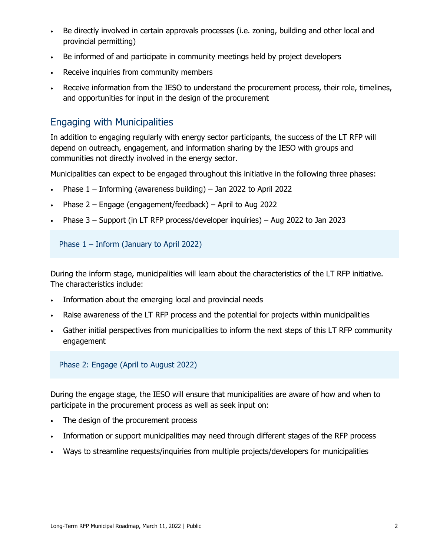- Be directly involved in certain approvals processes (i.e. zoning, building and other local and provincial permitting)
- Be informed of and participate in community meetings held by project developers
- Receive inquiries from community members
- Receive information from the IESO to understand the procurement process, their role, timelines, and opportunities for input in the design of the procurement

#### Engaging with Municipalities

In addition to engaging regularly with energy sector participants, the success of the LT RFP will depend on outreach, engagement, and information sharing by the IESO with groups and communities not directly involved in the energy sector.

Municipalities can expect to be engaged throughout this initiative in the following three phases:

- Phase 1 Informing (awareness building) Jan 2022 to April 2022
- Phase 2 Engage (engagement/feedback) April to Aug 2022
- Phase 3 Support (in LT RFP process/developer inquiries) Aug 2022 to Jan 2023

Phase 1 – Inform (January to April 2022)

During the inform stage, municipalities will learn about the characteristics of the LT RFP initiative. The characteristics include:

- Information about the emerging local and provincial needs
- Raise awareness of the LT RFP process and the potential for projects within municipalities
- Gather initial perspectives from municipalities to inform the next steps of this LT RFP community engagement

Phase 2: Engage (April to August 2022)

During the engage stage, the IESO will ensure that municipalities are aware of how and when to participate in the procurement process as well as seek input on:

- The design of the procurement process
- Information or support municipalities may need through different stages of the RFP process
- Ways to streamline requests/inquiries from multiple projects/developers for municipalities